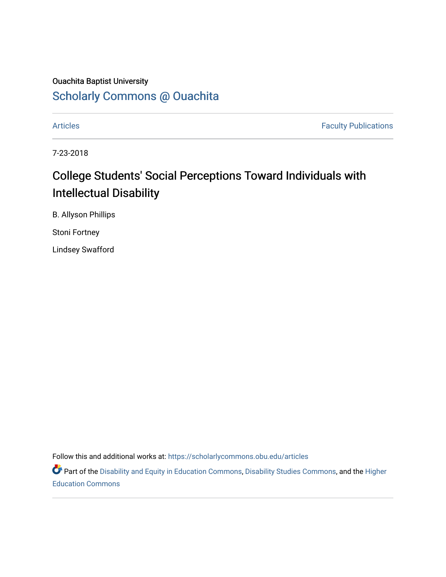## Ouachita Baptist University

## [Scholarly Commons @ Ouachita](https://scholarlycommons.obu.edu/)

[Articles](https://scholarlycommons.obu.edu/articles) **Faculty Publications** 

7-23-2018

# College Students' Social Perceptions Toward Individuals with Intellectual Disability

B. Allyson Phillips

Stoni Fortney

Lindsey Swafford

Follow this and additional works at: [https://scholarlycommons.obu.edu/articles](https://scholarlycommons.obu.edu/articles?utm_source=scholarlycommons.obu.edu%2Farticles%2F346&utm_medium=PDF&utm_campaign=PDFCoverPages) 

Part of the [Disability and Equity in Education Commons](http://network.bepress.com/hgg/discipline/1040?utm_source=scholarlycommons.obu.edu%2Farticles%2F346&utm_medium=PDF&utm_campaign=PDFCoverPages), [Disability Studies Commons](http://network.bepress.com/hgg/discipline/1417?utm_source=scholarlycommons.obu.edu%2Farticles%2F346&utm_medium=PDF&utm_campaign=PDFCoverPages), and the Higher [Education Commons](http://network.bepress.com/hgg/discipline/1245?utm_source=scholarlycommons.obu.edu%2Farticles%2F346&utm_medium=PDF&utm_campaign=PDFCoverPages)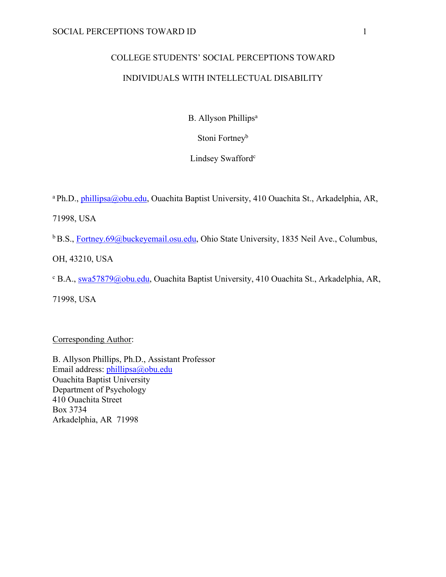# COLLEGE STUDENTS' SOCIAL PERCEPTIONS TOWARD INDIVIDUALS WITH INTELLECTUAL DISABILITY

B. Allyson Phillips<sup>a</sup>

Stoni Fortney<sup>b</sup>

Lindsey Swafford<sup>c</sup>

<sup>a</sup> Ph.D., phillipsa@obu.edu, Ouachita Baptist University, 410 Ouachita St., Arkadelphia, AR,

71998, USA

<sup>b</sup> B.S., Fortney.69@buckeyemail.osu.edu, Ohio State University, 1835 Neil Ave., Columbus,

OH, 43210, USA

<sup>c</sup> B.A., swa57879@obu.edu, Ouachita Baptist University, 410 Ouachita St., Arkadelphia, AR,

71998, USA

Corresponding Author:

B. Allyson Phillips, Ph.D., Assistant Professor Email address: phillipsa@obu.edu Ouachita Baptist University Department of Psychology 410 Ouachita Street Box 3734 Arkadelphia, AR 71998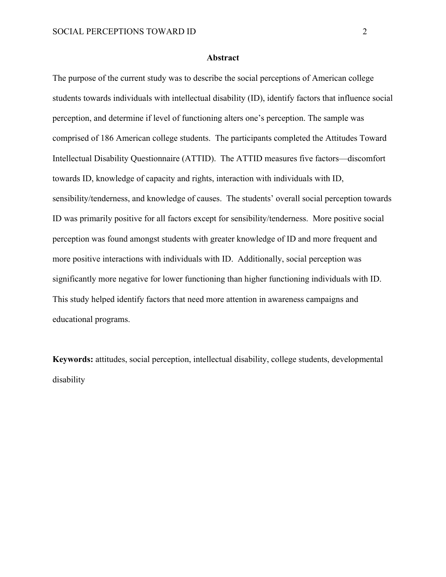#### **Abstract**

The purpose of the current study was to describe the social perceptions of American college students towards individuals with intellectual disability (ID), identify factors that influence social perception, and determine if level of functioning alters one's perception. The sample was comprised of 186 American college students. The participants completed the Attitudes Toward Intellectual Disability Questionnaire (ATTID). The ATTID measures five factors—discomfort towards ID, knowledge of capacity and rights, interaction with individuals with ID, sensibility/tenderness, and knowledge of causes. The students' overall social perception towards ID was primarily positive for all factors except for sensibility/tenderness. More positive social perception was found amongst students with greater knowledge of ID and more frequent and more positive interactions with individuals with ID. Additionally, social perception was significantly more negative for lower functioning than higher functioning individuals with ID. This study helped identify factors that need more attention in awareness campaigns and educational programs.

**Keywords:** attitudes, social perception, intellectual disability, college students, developmental disability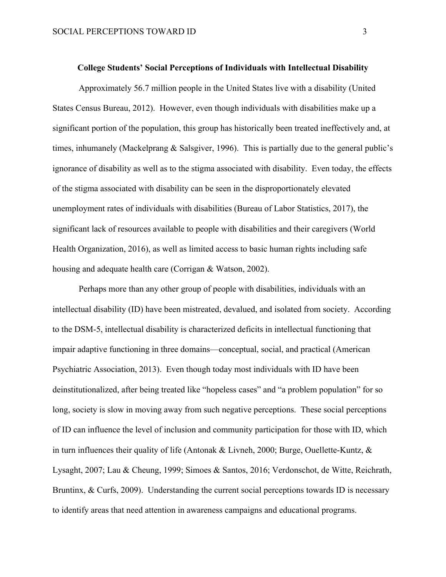Approximately 56.7 million people in the United States live with a disability (United States Census Bureau, 2012). However, even though individuals with disabilities make up a significant portion of the population, this group has historically been treated ineffectively and, at times, inhumanely (Mackelprang & Salsgiver, 1996). This is partially due to the general public's ignorance of disability as well as to the stigma associated with disability. Even today, the effects of the stigma associated with disability can be seen in the disproportionately elevated unemployment rates of individuals with disabilities (Bureau of Labor Statistics, 2017), the significant lack of resources available to people with disabilities and their caregivers (World Health Organization, 2016), as well as limited access to basic human rights including safe housing and adequate health care (Corrigan & Watson, 2002).

Perhaps more than any other group of people with disabilities, individuals with an intellectual disability (ID) have been mistreated, devalued, and isolated from society. According to the DSM-5, intellectual disability is characterized deficits in intellectual functioning that impair adaptive functioning in three domains—conceptual, social, and practical (American Psychiatric Association, 2013). Even though today most individuals with ID have been deinstitutionalized, after being treated like "hopeless cases" and "a problem population" for so long, society is slow in moving away from such negative perceptions. These social perceptions of ID can influence the level of inclusion and community participation for those with ID, which in turn influences their quality of life (Antonak & Livneh, 2000; Burge, Ouellette-Kuntz, & Lysaght, 2007; Lau & Cheung, 1999; Simoes & Santos, 2016; Verdonschot, de Witte, Reichrath, Bruntinx, & Curfs, 2009). Understanding the current social perceptions towards ID is necessary to identify areas that need attention in awareness campaigns and educational programs.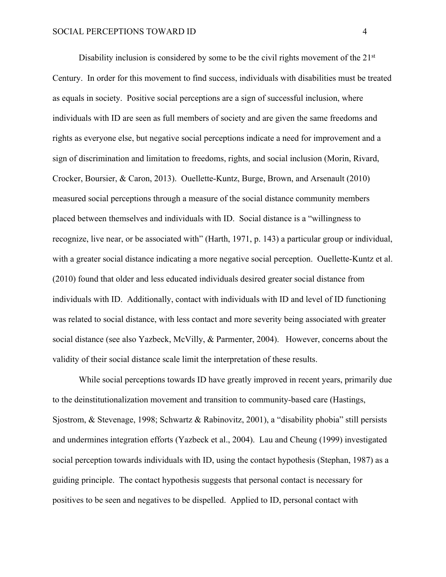Disability inclusion is considered by some to be the civil rights movement of the  $21<sup>st</sup>$ Century. In order for this movement to find success, individuals with disabilities must be treated as equals in society. Positive social perceptions are a sign of successful inclusion, where individuals with ID are seen as full members of society and are given the same freedoms and rights as everyone else, but negative social perceptions indicate a need for improvement and a sign of discrimination and limitation to freedoms, rights, and social inclusion (Morin, Rivard, Crocker, Boursier, & Caron, 2013). Ouellette-Kuntz, Burge, Brown, and Arsenault (2010) measured social perceptions through a measure of the social distance community members placed between themselves and individuals with ID. Social distance is a "willingness to recognize, live near, or be associated with" (Harth, 1971, p. 143) a particular group or individual, with a greater social distance indicating a more negative social perception. Ouellette-Kuntz et al. (2010) found that older and less educated individuals desired greater social distance from individuals with ID. Additionally, contact with individuals with ID and level of ID functioning was related to social distance, with less contact and more severity being associated with greater social distance (see also Yazbeck, McVilly, & Parmenter, 2004). However, concerns about the validity of their social distance scale limit the interpretation of these results.

While social perceptions towards ID have greatly improved in recent years, primarily due to the deinstitutionalization movement and transition to community-based care (Hastings, Sjostrom, & Stevenage, 1998; Schwartz & Rabinovitz, 2001), a "disability phobia" still persists and undermines integration efforts (Yazbeck et al., 2004). Lau and Cheung (1999) investigated social perception towards individuals with ID, using the contact hypothesis (Stephan, 1987) as a guiding principle. The contact hypothesis suggests that personal contact is necessary for positives to be seen and negatives to be dispelled. Applied to ID, personal contact with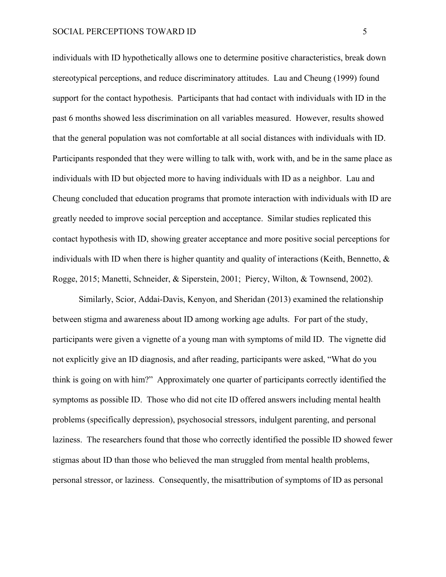individuals with ID hypothetically allows one to determine positive characteristics, break down stereotypical perceptions, and reduce discriminatory attitudes. Lau and Cheung (1999) found support for the contact hypothesis. Participants that had contact with individuals with ID in the past 6 months showed less discrimination on all variables measured. However, results showed that the general population was not comfortable at all social distances with individuals with ID. Participants responded that they were willing to talk with, work with, and be in the same place as individuals with ID but objected more to having individuals with ID as a neighbor. Lau and Cheung concluded that education programs that promote interaction with individuals with ID are greatly needed to improve social perception and acceptance. Similar studies replicated this contact hypothesis with ID, showing greater acceptance and more positive social perceptions for individuals with ID when there is higher quantity and quality of interactions (Keith, Bennetto,  $\&$ Rogge, 2015; Manetti, Schneider, & Siperstein, 2001; Piercy, Wilton, & Townsend, 2002).

Similarly, Scior, Addai-Davis, Kenyon, and Sheridan (2013) examined the relationship between stigma and awareness about ID among working age adults. For part of the study, participants were given a vignette of a young man with symptoms of mild ID. The vignette did not explicitly give an ID diagnosis, and after reading, participants were asked, "What do you think is going on with him?" Approximately one quarter of participants correctly identified the symptoms as possible ID. Those who did not cite ID offered answers including mental health problems (specifically depression), psychosocial stressors, indulgent parenting, and personal laziness. The researchers found that those who correctly identified the possible ID showed fewer stigmas about ID than those who believed the man struggled from mental health problems, personal stressor, or laziness. Consequently, the misattribution of symptoms of ID as personal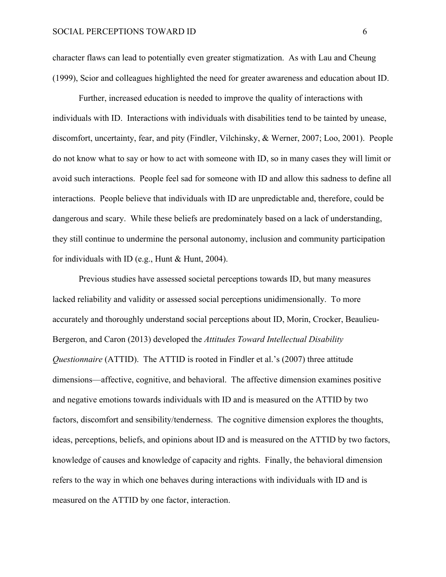character flaws can lead to potentially even greater stigmatization. As with Lau and Cheung (1999), Scior and colleagues highlighted the need for greater awareness and education about ID.

Further, increased education is needed to improve the quality of interactions with individuals with ID. Interactions with individuals with disabilities tend to be tainted by unease, discomfort, uncertainty, fear, and pity (Findler, Vilchinsky, & Werner, 2007; Loo, 2001). People do not know what to say or how to act with someone with ID, so in many cases they will limit or avoid such interactions. People feel sad for someone with ID and allow this sadness to define all interactions. People believe that individuals with ID are unpredictable and, therefore, could be dangerous and scary. While these beliefs are predominately based on a lack of understanding, they still continue to undermine the personal autonomy, inclusion and community participation for individuals with ID (e.g., Hunt & Hunt, 2004).

Previous studies have assessed societal perceptions towards ID, but many measures lacked reliability and validity or assessed social perceptions unidimensionally. To more accurately and thoroughly understand social perceptions about ID, Morin, Crocker, Beaulieu-Bergeron, and Caron (2013) developed the *Attitudes Toward Intellectual Disability Questionnaire* (ATTID). The ATTID is rooted in Findler et al.'s (2007) three attitude dimensions—affective, cognitive, and behavioral. The affective dimension examines positive and negative emotions towards individuals with ID and is measured on the ATTID by two factors, discomfort and sensibility/tenderness. The cognitive dimension explores the thoughts, ideas, perceptions, beliefs, and opinions about ID and is measured on the ATTID by two factors, knowledge of causes and knowledge of capacity and rights. Finally, the behavioral dimension refers to the way in which one behaves during interactions with individuals with ID and is measured on the ATTID by one factor, interaction.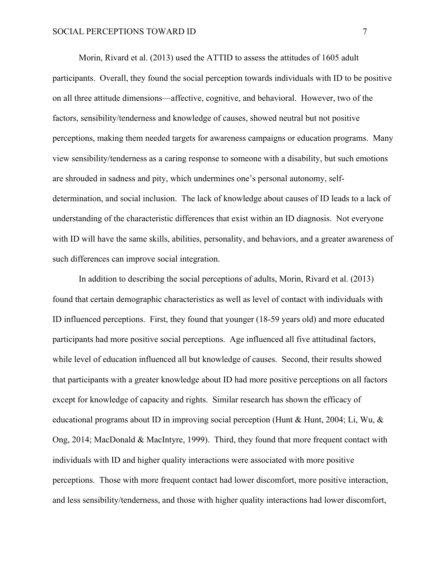Morin, Rivard et al. (2013) used the ATTID to assess the attitudes of 1605 adult participants. Overall, they found the social perception towards individuals with ID to be positive on all three attitude dimensions—affective, cognitive, and behavioral. However, two of the factors, sensibility/tenderness and knowledge of causes, showed neutral but not positive perceptions, making them needed targets for awareness campaigns or education programs. Many view sensibility/tenderness as a caring response to someone with a disability, but such emotions are shrouded in sadness and pity, which undermines one's personal autonomy, selfdetermination, and social inclusion. The lack of knowledge about causes of ID leads to a lack of understanding of the characteristic differences that exist within an ID diagnosis. Not everyone with ID will have the same skills, abilities, personality, and behaviors, and a greater awareness of such differences can improve social integration.

In addition to describing the social perceptions of adults, Morin, Rivard et al. (2013) found that certain demographic characteristics as well as level of contact with individuals with ID influenced perceptions. First, they found that younger (18-59 years old) and more educated participants had more positive social perceptions. Age influenced all five attitudinal factors, while level of education influenced all but knowledge of causes. Second, their results showed that participants with a greater knowledge about ID had more positive perceptions on all factors except for knowledge of capacity and rights. Similar research has shown the efficacy of educational programs about ID in improving social perception (Hunt & Hunt, 2004; Li, Wu, & Ong, 2014; MacDonald & MacIntyre, 1999). Third, they found that more frequent contact with individuals with ID and higher quality interactions were associated with more positive perceptions. Those with more frequent contact had lower discomfort, more positive interaction, and less sensibility/tenderness, and those with higher quality interactions had lower discomfort,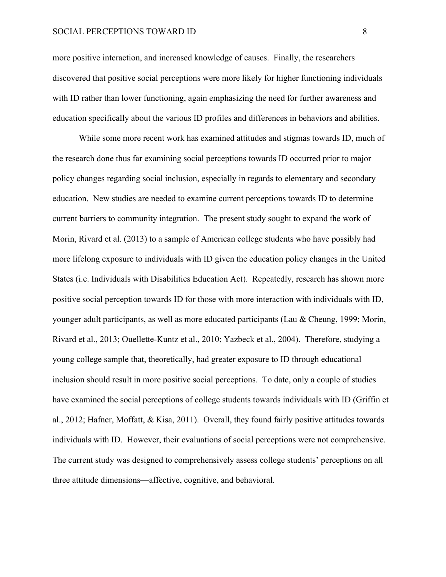#### SOCIAL PERCEPTIONS TOWARD ID 8

more positive interaction, and increased knowledge of causes. Finally, the researchers discovered that positive social perceptions were more likely for higher functioning individuals with ID rather than lower functioning, again emphasizing the need for further awareness and education specifically about the various ID profiles and differences in behaviors and abilities.

While some more recent work has examined attitudes and stigmas towards ID, much of the research done thus far examining social perceptions towards ID occurred prior to major policy changes regarding social inclusion, especially in regards to elementary and secondary education. New studies are needed to examine current perceptions towards ID to determine current barriers to community integration. The present study sought to expand the work of Morin, Rivard et al. (2013) to a sample of American college students who have possibly had more lifelong exposure to individuals with ID given the education policy changes in the United States (i.e. Individuals with Disabilities Education Act). Repeatedly, research has shown more positive social perception towards ID for those with more interaction with individuals with ID, younger adult participants, as well as more educated participants (Lau & Cheung, 1999; Morin, Rivard et al., 2013; Ouellette-Kuntz et al., 2010; Yazbeck et al., 2004). Therefore, studying a young college sample that, theoretically, had greater exposure to ID through educational inclusion should result in more positive social perceptions. To date, only a couple of studies have examined the social perceptions of college students towards individuals with ID (Griffin et al., 2012; Hafner, Moffatt, & Kisa, 2011). Overall, they found fairly positive attitudes towards individuals with ID. However, their evaluations of social perceptions were not comprehensive. The current study was designed to comprehensively assess college students' perceptions on all three attitude dimensions—affective, cognitive, and behavioral.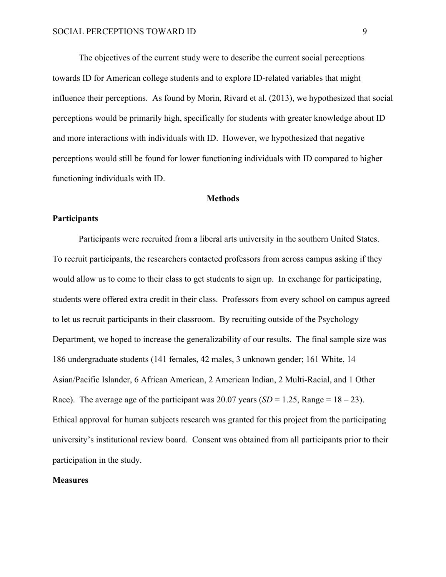The objectives of the current study were to describe the current social perceptions towards ID for American college students and to explore ID-related variables that might influence their perceptions. As found by Morin, Rivard et al. (2013), we hypothesized that social perceptions would be primarily high, specifically for students with greater knowledge about ID and more interactions with individuals with ID. However, we hypothesized that negative perceptions would still be found for lower functioning individuals with ID compared to higher functioning individuals with ID.

#### **Methods**

### **Participants**

Participants were recruited from a liberal arts university in the southern United States. To recruit participants, the researchers contacted professors from across campus asking if they would allow us to come to their class to get students to sign up. In exchange for participating, students were offered extra credit in their class. Professors from every school on campus agreed to let us recruit participants in their classroom. By recruiting outside of the Psychology Department, we hoped to increase the generalizability of our results. The final sample size was 186 undergraduate students (141 females, 42 males, 3 unknown gender; 161 White, 14 Asian/Pacific Islander, 6 African American, 2 American Indian, 2 Multi-Racial, and 1 Other Race). The average age of the participant was  $20.07$  years (*SD* = 1.25, Range = 18 – 23). Ethical approval for human subjects research was granted for this project from the participating university's institutional review board. Consent was obtained from all participants prior to their participation in the study.

### **Measures**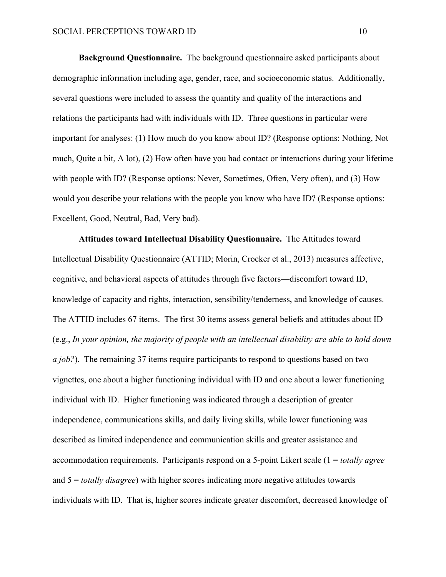**Background Questionnaire.** The background questionnaire asked participants about demographic information including age, gender, race, and socioeconomic status. Additionally, several questions were included to assess the quantity and quality of the interactions and relations the participants had with individuals with ID. Three questions in particular were important for analyses: (1) How much do you know about ID? (Response options: Nothing, Not much, Quite a bit, A lot), (2) How often have you had contact or interactions during your lifetime with people with ID? (Response options: Never, Sometimes, Often, Very often), and (3) How would you describe your relations with the people you know who have ID? (Response options: Excellent, Good, Neutral, Bad, Very bad).

**Attitudes toward Intellectual Disability Questionnaire.** The Attitudes toward Intellectual Disability Questionnaire (ATTID; Morin, Crocker et al., 2013) measures affective, cognitive, and behavioral aspects of attitudes through five factors—discomfort toward ID, knowledge of capacity and rights, interaction, sensibility/tenderness, and knowledge of causes. The ATTID includes 67 items. The first 30 items assess general beliefs and attitudes about ID (e.g., *In your opinion, the majority of people with an intellectual disability are able to hold down a job?*). The remaining 37 items require participants to respond to questions based on two vignettes, one about a higher functioning individual with ID and one about a lower functioning individual with ID. Higher functioning was indicated through a description of greater independence, communications skills, and daily living skills, while lower functioning was described as limited independence and communication skills and greater assistance and accommodation requirements. Participants respond on a 5-point Likert scale (1 = *totally agree* and 5 = *totally disagree*) with higher scores indicating more negative attitudes towards individuals with ID. That is, higher scores indicate greater discomfort, decreased knowledge of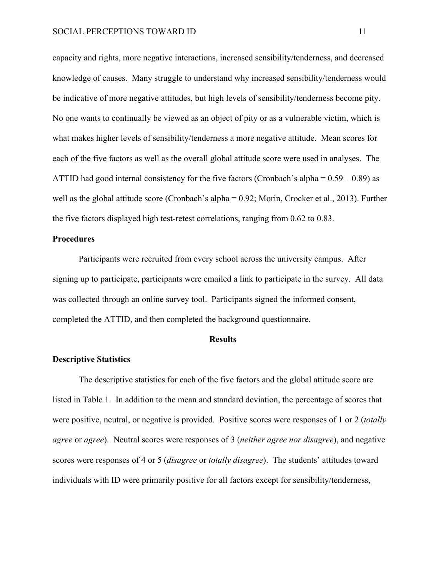capacity and rights, more negative interactions, increased sensibility/tenderness, and decreased knowledge of causes. Many struggle to understand why increased sensibility/tenderness would be indicative of more negative attitudes, but high levels of sensibility/tenderness become pity. No one wants to continually be viewed as an object of pity or as a vulnerable victim, which is what makes higher levels of sensibility/tenderness a more negative attitude. Mean scores for each of the five factors as well as the overall global attitude score were used in analyses. The ATTID had good internal consistency for the five factors (Cronbach's alpha  $= 0.59 - 0.89$ ) as well as the global attitude score (Cronbach's alpha = 0.92; Morin, Crocker et al., 2013). Further the five factors displayed high test-retest correlations, ranging from 0.62 to 0.83.

#### **Procedures**

Participants were recruited from every school across the university campus. After signing up to participate, participants were emailed a link to participate in the survey. All data was collected through an online survey tool. Participants signed the informed consent, completed the ATTID, and then completed the background questionnaire.

#### **Results**

#### **Descriptive Statistics**

The descriptive statistics for each of the five factors and the global attitude score are listed in Table 1. In addition to the mean and standard deviation, the percentage of scores that were positive, neutral, or negative is provided. Positive scores were responses of 1 or 2 (*totally agree* or *agree*). Neutral scores were responses of 3 (*neither agree nor disagree*), and negative scores were responses of 4 or 5 (*disagree* or *totally disagree*). The students' attitudes toward individuals with ID were primarily positive for all factors except for sensibility/tenderness,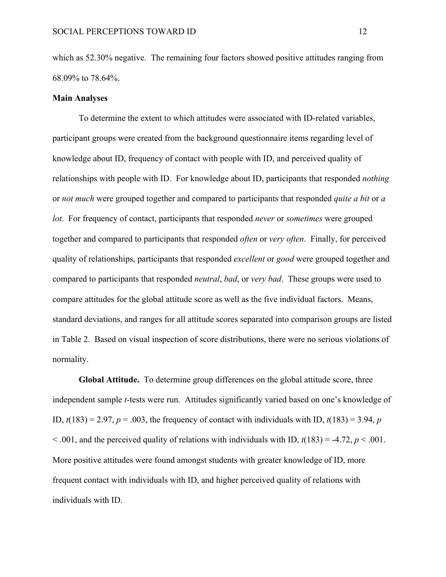which as 52.30% negative. The remaining four factors showed positive attitudes ranging from 68.09% to 78.64%.

#### **Main Analyses**

To determine the extent to which attitudes were associated with ID-related variables, participant groups were created from the background questionnaire items regarding level of knowledge about ID, frequency of contact with people with ID, and perceived quality of relationships with people with ID. For knowledge about ID, participants that responded *nothing* or *not much* were grouped together and compared to participants that responded *quite a bit* or *a lot*. For frequency of contact, participants that responded *never* or *sometimes* were grouped together and compared to participants that responded *often* or *very often*. Finally, for perceived quality of relationships, participants that responded *excellent* or *good* were grouped together and compared to participants that responded *neutral*, *bad*, or *very bad*. These groups were used to compare attitudes for the global attitude score as well as the five individual factors. Means, standard deviations, and ranges for all attitude scores separated into comparison groups are listed in Table 2. Based on visual inspection of score distributions, there were no serious violations of normality.

**Global Attitude.** To determine group differences on the global attitude score, three independent sample *t*-tests were run. Attitudes significantly varied based on one's knowledge of ID,  $t(183) = 2.97$ ,  $p = .003$ , the frequency of contact with individuals with ID,  $t(183) = 3.94$ , *p*  $\leq$  0.01, and the perceived quality of relations with individuals with ID,  $t(183) = -4.72$ ,  $p \leq 0.001$ . More positive attitudes were found amongst students with greater knowledge of ID, more frequent contact with individuals with ID, and higher perceived quality of relations with individuals with ID.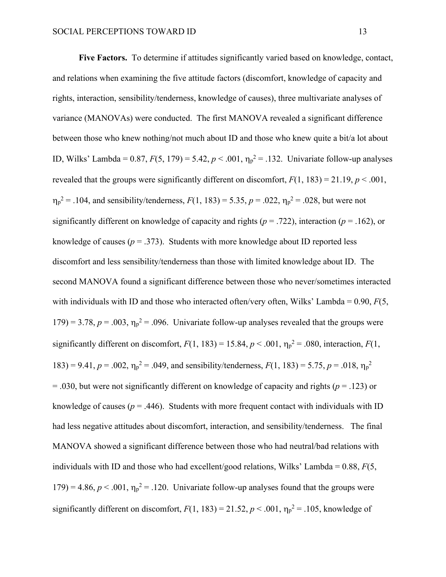**Five Factors.** To determine if attitudes significantly varied based on knowledge, contact, and relations when examining the five attitude factors (discomfort, knowledge of capacity and rights, interaction, sensibility/tenderness, knowledge of causes), three multivariate analyses of variance (MANOVAs) were conducted. The first MANOVA revealed a significant difference between those who knew nothing/not much about ID and those who knew quite a bit/a lot about ID, Wilks' Lambda =  $0.87, F(5, 179) = 5.42, p < .001, \eta_p^2 = .132$ . Univariate follow-up analyses revealed that the groups were significantly different on discomfort,  $F(1, 183) = 21.19$ ,  $p < .001$ ,  $n_p^2 = .104$ , and sensibility/tenderness,  $F(1, 183) = 5.35$ ,  $p = .022$ ,  $n_p^2 = .028$ , but were not significantly different on knowledge of capacity and rights ( $p = .722$ ), interaction ( $p = .162$ ), or knowledge of causes ( $p = 0.373$ ). Students with more knowledge about ID reported less discomfort and less sensibility/tenderness than those with limited knowledge about ID. The second MANOVA found a significant difference between those who never/sometimes interacted with individuals with ID and those who interacted often/very often, Wilks' Lambda = 0.90, *F*(5,  $179$ ) = 3.78,  $p = .003$ ,  $\eta_p^2 = .096$ . Univariate follow-up analyses revealed that the groups were significantly different on discomfort,  $F(1, 183) = 15.84$ ,  $p < .001$ ,  $\eta_p^2 = .080$ , interaction,  $F(1, 183) = 15.84$ ,  $p < .001$ ,  $\eta_p^2 = .080$ , interaction,  $F(1, 183) = .080$ 183) = 9.41,  $p = .002$ ,  $\eta_p^2 = .049$ , and sensibility/tenderness,  $F(1, 183) = 5.75$ ,  $p = .018$ ,  $\eta_p^2$ = .030, but were not significantly different on knowledge of capacity and rights (*p* = .123) or knowledge of causes ( $p = .446$ ). Students with more frequent contact with individuals with ID had less negative attitudes about discomfort, interaction, and sensibility/tenderness. The final MANOVA showed a significant difference between those who had neutral/bad relations with individuals with ID and those who had excellent/good relations, Wilks' Lambda = 0.88, *F*(5,  $179$ ) = 4.86,  $p < .001$ ,  $\eta_p^2$  = .120. Univariate follow-up analyses found that the groups were significantly different on discomfort,  $F(1, 183) = 21.52$ ,  $p < .001$ ,  $\eta_p^2 = .105$ , knowledge of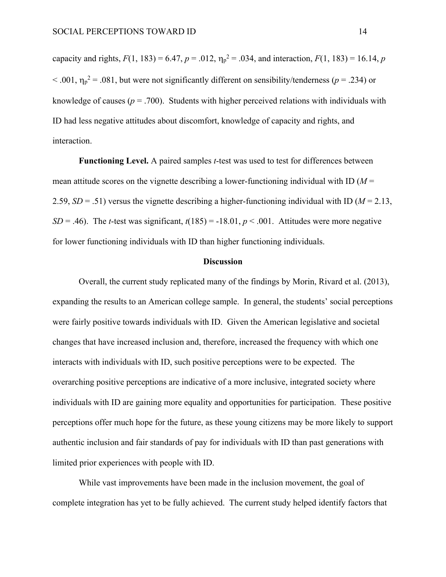capacity and rights,  $F(1, 183) = 6.47$ ,  $p = .012$ ,  $\eta_p^2 = .034$ , and interaction,  $F(1, 183) = 16.14$ ,  $p$  $< .001$ ,  $\eta_p^2 = .081$ , but were not significantly different on sensibility/tenderness ( $p = .234$ ) or knowledge of causes ( $p = .700$ ). Students with higher perceived relations with individuals with ID had less negative attitudes about discomfort, knowledge of capacity and rights, and interaction.

**Functioning Level.** A paired samples *t*-test was used to test for differences between mean attitude scores on the vignette describing a lower-functioning individual with ID (*M* = 2.59,  $SD = .51$ ) versus the vignette describing a higher-functioning individual with ID ( $M = 2.13$ , *SD* = .46). The *t*-test was significant,  $t(185) = -18.01$ ,  $p < .001$ . Attitudes were more negative for lower functioning individuals with ID than higher functioning individuals.

### **Discussion**

Overall, the current study replicated many of the findings by Morin, Rivard et al. (2013), expanding the results to an American college sample. In general, the students' social perceptions were fairly positive towards individuals with ID. Given the American legislative and societal changes that have increased inclusion and, therefore, increased the frequency with which one interacts with individuals with ID, such positive perceptions were to be expected. The overarching positive perceptions are indicative of a more inclusive, integrated society where individuals with ID are gaining more equality and opportunities for participation. These positive perceptions offer much hope for the future, as these young citizens may be more likely to support authentic inclusion and fair standards of pay for individuals with ID than past generations with limited prior experiences with people with ID.

While vast improvements have been made in the inclusion movement, the goal of complete integration has yet to be fully achieved. The current study helped identify factors that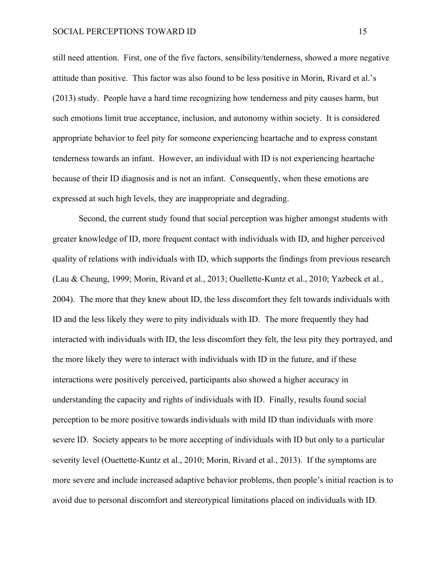still need attention. First, one of the five factors, sensibility/tenderness, showed a more negative attitude than positive. This factor was also found to be less positive in Morin, Rivard et al.'s (2013) study. People have a hard time recognizing how tenderness and pity causes harm, but such emotions limit true acceptance, inclusion, and autonomy within society. It is considered appropriate behavior to feel pity for someone experiencing heartache and to express constant tenderness towards an infant. However, an individual with ID is not experiencing heartache because of their ID diagnosis and is not an infant. Consequently, when these emotions are expressed at such high levels, they are inappropriate and degrading.

Second, the current study found that social perception was higher amongst students with greater knowledge of ID, more frequent contact with individuals with ID, and higher perceived quality of relations with individuals with ID, which supports the findings from previous research (Lau & Cheung, 1999; Morin, Rivard et al., 2013; Ouellette-Kuntz et al., 2010; Yazbeck et al., 2004). The more that they knew about ID, the less discomfort they felt towards individuals with ID and the less likely they were to pity individuals with ID. The more frequently they had interacted with individuals with ID, the less discomfort they felt, the less pity they portrayed, and the more likely they were to interact with individuals with ID in the future, and if these interactions were positively perceived, participants also showed a higher accuracy in understanding the capacity and rights of individuals with ID. Finally, results found social perception to be more positive towards individuals with mild ID than individuals with more severe ID. Society appears to be more accepting of individuals with ID but only to a particular severity level (Ouettette-Kuntz et al., 2010; Morin, Rivard et al., 2013). If the symptoms are more severe and include increased adaptive behavior problems, then people's initial reaction is to avoid due to personal discomfort and stereotypical limitations placed on individuals with ID.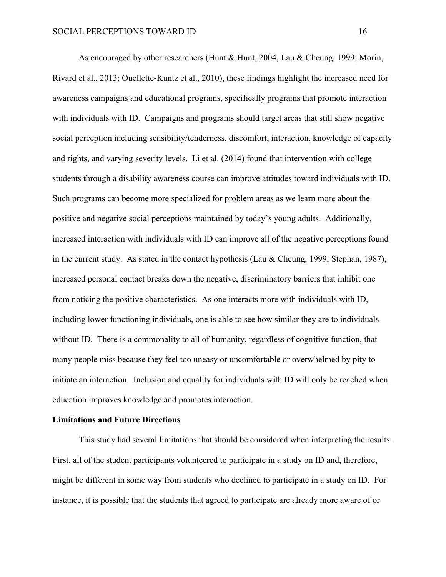As encouraged by other researchers (Hunt & Hunt, 2004, Lau & Cheung, 1999; Morin, Rivard et al., 2013; Ouellette-Kuntz et al., 2010), these findings highlight the increased need for awareness campaigns and educational programs, specifically programs that promote interaction with individuals with ID. Campaigns and programs should target areas that still show negative social perception including sensibility/tenderness, discomfort, interaction, knowledge of capacity and rights, and varying severity levels. Li et al. (2014) found that intervention with college students through a disability awareness course can improve attitudes toward individuals with ID. Such programs can become more specialized for problem areas as we learn more about the positive and negative social perceptions maintained by today's young adults. Additionally, increased interaction with individuals with ID can improve all of the negative perceptions found in the current study. As stated in the contact hypothesis (Lau & Cheung, 1999; Stephan, 1987), increased personal contact breaks down the negative, discriminatory barriers that inhibit one from noticing the positive characteristics. As one interacts more with individuals with ID, including lower functioning individuals, one is able to see how similar they are to individuals without ID. There is a commonality to all of humanity, regardless of cognitive function, that many people miss because they feel too uneasy or uncomfortable or overwhelmed by pity to initiate an interaction. Inclusion and equality for individuals with ID will only be reached when education improves knowledge and promotes interaction.

#### **Limitations and Future Directions**

This study had several limitations that should be considered when interpreting the results. First, all of the student participants volunteered to participate in a study on ID and, therefore, might be different in some way from students who declined to participate in a study on ID. For instance, it is possible that the students that agreed to participate are already more aware of or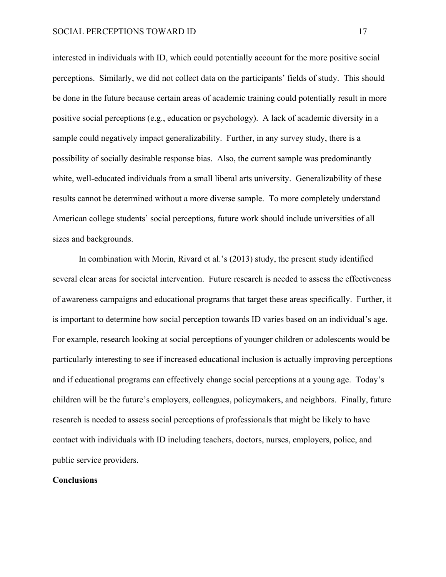interested in individuals with ID, which could potentially account for the more positive social perceptions. Similarly, we did not collect data on the participants' fields of study. This should be done in the future because certain areas of academic training could potentially result in more positive social perceptions (e.g., education or psychology). A lack of academic diversity in a sample could negatively impact generalizability. Further, in any survey study, there is a possibility of socially desirable response bias. Also, the current sample was predominantly white, well-educated individuals from a small liberal arts university. Generalizability of these results cannot be determined without a more diverse sample. To more completely understand American college students' social perceptions, future work should include universities of all sizes and backgrounds.

In combination with Morin, Rivard et al.'s (2013) study, the present study identified several clear areas for societal intervention. Future research is needed to assess the effectiveness of awareness campaigns and educational programs that target these areas specifically. Further, it is important to determine how social perception towards ID varies based on an individual's age. For example, research looking at social perceptions of younger children or adolescents would be particularly interesting to see if increased educational inclusion is actually improving perceptions and if educational programs can effectively change social perceptions at a young age. Today's children will be the future's employers, colleagues, policymakers, and neighbors. Finally, future research is needed to assess social perceptions of professionals that might be likely to have contact with individuals with ID including teachers, doctors, nurses, employers, police, and public service providers.

#### **Conclusions**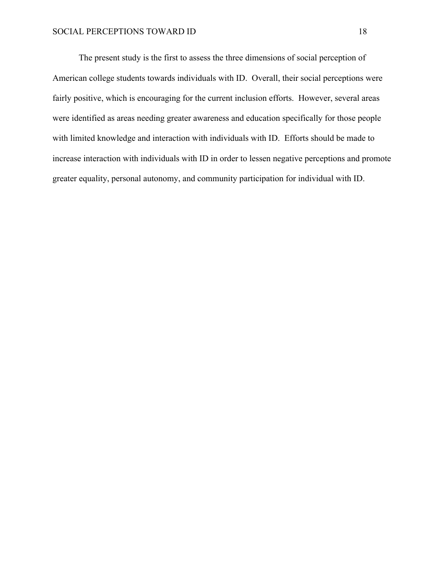The present study is the first to assess the three dimensions of social perception of American college students towards individuals with ID. Overall, their social perceptions were fairly positive, which is encouraging for the current inclusion efforts. However, several areas were identified as areas needing greater awareness and education specifically for those people with limited knowledge and interaction with individuals with ID. Efforts should be made to increase interaction with individuals with ID in order to lessen negative perceptions and promote greater equality, personal autonomy, and community participation for individual with ID.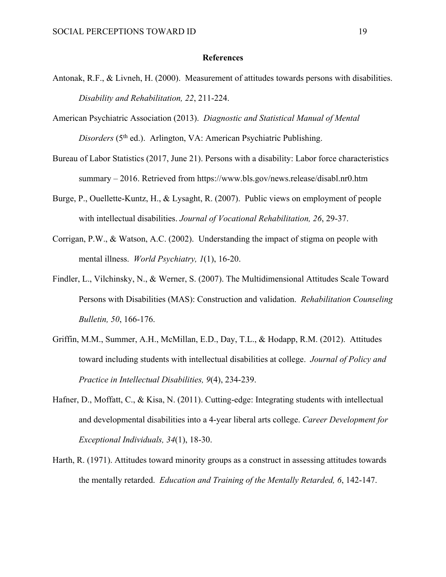#### **References**

- Antonak, R.F., & Livneh, H. (2000). Measurement of attitudes towards persons with disabilities. *Disability and Rehabilitation, 22*, 211-224.
- American Psychiatric Association (2013). *Diagnostic and Statistical Manual of Mental Disorders* (5<sup>th</sup> ed.). Arlington, VA: American Psychiatric Publishing.
- Bureau of Labor Statistics (2017, June 21). Persons with a disability: Labor force characteristics summary – 2016. Retrieved from https://www.bls.gov/news.release/disabl.nr0.htm
- Burge, P., Ouellette-Kuntz, H., & Lysaght, R. (2007). Public views on employment of people with intellectual disabilities. *Journal of Vocational Rehabilitation, 26*, 29-37.
- Corrigan, P.W., & Watson, A.C. (2002). Understanding the impact of stigma on people with mental illness. *World Psychiatry, 1*(1), 16-20.
- Findler, L., Vilchinsky, N., & Werner, S. (2007). The Multidimensional Attitudes Scale Toward Persons with Disabilities (MAS): Construction and validation. *Rehabilitation Counseling Bulletin, 50*, 166-176.
- Griffin, M.M., Summer, A.H., McMillan, E.D., Day, T.L., & Hodapp, R.M. (2012). Attitudes toward including students with intellectual disabilities at college. *Journal of Policy and Practice in Intellectual Disabilities, 9*(4), 234-239.
- Hafner, D., Moffatt, C., & Kisa, N. (2011). Cutting-edge: Integrating students with intellectual and developmental disabilities into a 4-year liberal arts college. *Career Development for Exceptional Individuals, 34*(1), 18-30.
- Harth, R. (1971). Attitudes toward minority groups as a construct in assessing attitudes towards the mentally retarded. *Education and Training of the Mentally Retarded, 6*, 142-147.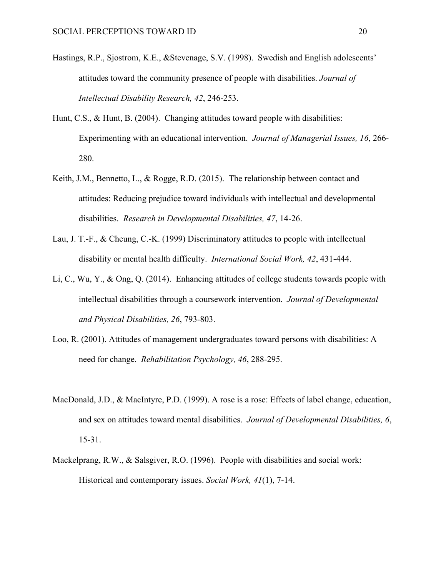- Hastings, R.P., Sjostrom, K.E., &Stevenage, S.V. (1998). Swedish and English adolescents' attitudes toward the community presence of people with disabilities. *Journal of Intellectual Disability Research, 42*, 246-253.
- Hunt, C.S., & Hunt, B. (2004). Changing attitudes toward people with disabilities: Experimenting with an educational intervention. *Journal of Managerial Issues, 16*, 266- 280.
- Keith, J.M., Bennetto, L., & Rogge, R.D. (2015). The relationship between contact and attitudes: Reducing prejudice toward individuals with intellectual and developmental disabilities. *Research in Developmental Disabilities, 47*, 14-26.
- Lau, J. T.-F., & Cheung, C.-K. (1999) Discriminatory attitudes to people with intellectual disability or mental health difficulty. *International Social Work, 42*, 431-444.
- Li, C., Wu, Y., & Ong, Q. (2014). Enhancing attitudes of college students towards people with intellectual disabilities through a coursework intervention. *Journal of Developmental and Physical Disabilities, 26*, 793-803.
- Loo, R. (2001). Attitudes of management undergraduates toward persons with disabilities: A need for change. *Rehabilitation Psychology, 46*, 288-295.
- MacDonald, J.D., & MacIntyre, P.D. (1999). A rose is a rose: Effects of label change, education, and sex on attitudes toward mental disabilities. *Journal of Developmental Disabilities, 6*, 15-31.
- Mackelprang, R.W., & Salsgiver, R.O. (1996). People with disabilities and social work: Historical and contemporary issues. *Social Work, 41*(1), 7-14.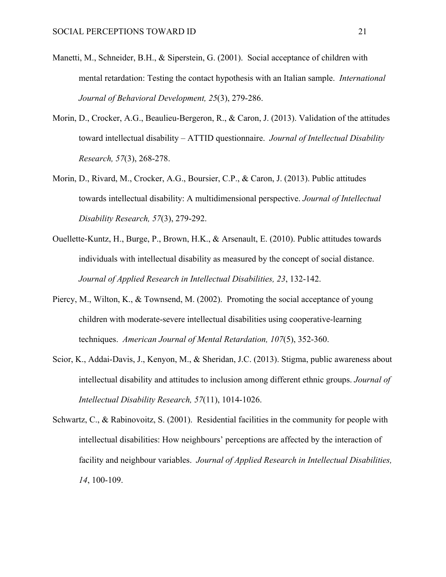- Manetti, M., Schneider, B.H., & Siperstein, G. (2001). Social acceptance of children with mental retardation: Testing the contact hypothesis with an Italian sample. *International Journal of Behavioral Development, 25*(3), 279-286.
- Morin, D., Crocker, A.G., Beaulieu-Bergeron, R., & Caron, J. (2013). Validation of the attitudes toward intellectual disability – ATTID questionnaire. *Journal of Intellectual Disability Research, 57*(3), 268-278.
- Morin, D., Rivard, M., Crocker, A.G., Boursier, C.P., & Caron, J. (2013). Public attitudes towards intellectual disability: A multidimensional perspective. *Journal of Intellectual Disability Research, 57*(3), 279-292.
- Ouellette-Kuntz, H., Burge, P., Brown, H.K., & Arsenault, E. (2010). Public attitudes towards individuals with intellectual disability as measured by the concept of social distance. *Journal of Applied Research in Intellectual Disabilities, 23*, 132-142.
- Piercy, M., Wilton, K., & Townsend, M. (2002). Promoting the social acceptance of young children with moderate-severe intellectual disabilities using cooperative-learning techniques. *American Journal of Mental Retardation, 107*(5), 352-360.
- Scior, K., Addai-Davis, J., Kenyon, M., & Sheridan, J.C. (2013). Stigma, public awareness about intellectual disability and attitudes to inclusion among different ethnic groups. *Journal of Intellectual Disability Research, 57*(11), 1014-1026.
- Schwartz, C., & Rabinovoitz, S. (2001). Residential facilities in the community for people with intellectual disabilities: How neighbours' perceptions are affected by the interaction of facility and neighbour variables. *Journal of Applied Research in Intellectual Disabilities, 14*, 100-109.